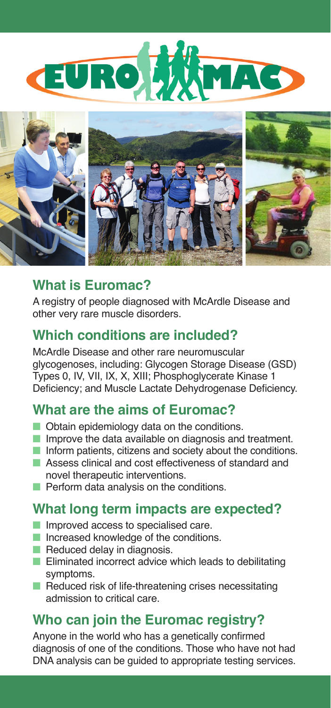



## **What is Euromac?**

A registry of people diagnosed with McArdle Disease and other very rare muscle disorders.

### **Which conditions are included?**

McArdle Disease and other rare neuromuscular glycogenoses, including: Glycogen Storage Disease (GSD) Types 0, IV, VII, IX, X, XIII; Phosphoglycerate Kinase 1 Deficiency; and Muscle Lactate Dehydrogenase Deficiency.

## **What are the aims of Euromac?**

- Obtain epidemiology data on the conditions.
- Improve the data available on diagnosis and treatment.
- Inform patients, citizens and society about the conditions.
- Assess clinical and cost effectiveness of standard and novel therapeutic interventions.
- Perform data analysis on the conditions.

### **What long term impacts are expected?**

- Improved access to specialised care.
- Increased knowledge of the conditions.
- Reduced delay in diagnosis.
- Eliminated incorrect advice which leads to debilitating symptoms.
- Reduced risk of life-threatening crises necessitating admission to critical care.

### **Who can join the Euromac registry?**

Anyone in the world who has a genetically confirmed diagnosis of one of the conditions. Those who have not had DNA analysis can be guided to appropriate testing services.